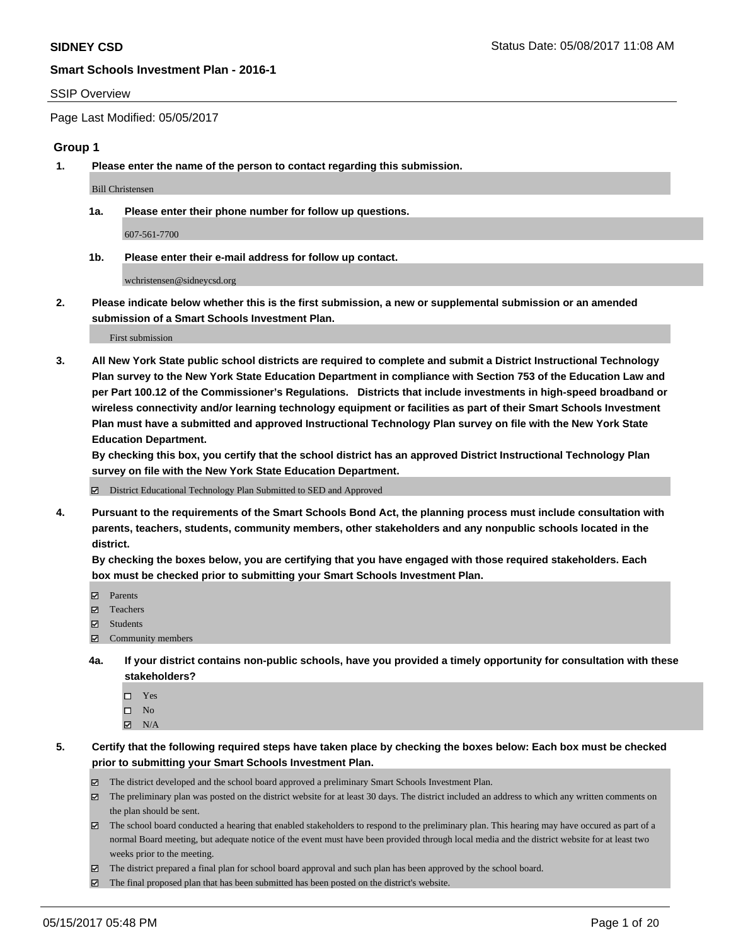#### SSIP Overview

Page Last Modified: 05/05/2017

#### **Group 1**

**1. Please enter the name of the person to contact regarding this submission.**

Bill Christensen

**1a. Please enter their phone number for follow up questions.**

607-561-7700

**1b. Please enter their e-mail address for follow up contact.**

wchristensen@sidneycsd.org

**2. Please indicate below whether this is the first submission, a new or supplemental submission or an amended submission of a Smart Schools Investment Plan.**

First submission

**3. All New York State public school districts are required to complete and submit a District Instructional Technology Plan survey to the New York State Education Department in compliance with Section 753 of the Education Law and per Part 100.12 of the Commissioner's Regulations. Districts that include investments in high-speed broadband or wireless connectivity and/or learning technology equipment or facilities as part of their Smart Schools Investment Plan must have a submitted and approved Instructional Technology Plan survey on file with the New York State Education Department.** 

**By checking this box, you certify that the school district has an approved District Instructional Technology Plan survey on file with the New York State Education Department.**

District Educational Technology Plan Submitted to SED and Approved

**4. Pursuant to the requirements of the Smart Schools Bond Act, the planning process must include consultation with parents, teachers, students, community members, other stakeholders and any nonpublic schools located in the district.** 

**By checking the boxes below, you are certifying that you have engaged with those required stakeholders. Each box must be checked prior to submitting your Smart Schools Investment Plan.**

- **マ** Parents
- □ Teachers
- Students
- $\Xi$  Community members
- **4a. If your district contains non-public schools, have you provided a timely opportunity for consultation with these stakeholders?**
	- Yes
	- $\hfill \square$  No
	- $\boxtimes$  N/A
- **5. Certify that the following required steps have taken place by checking the boxes below: Each box must be checked prior to submitting your Smart Schools Investment Plan.**
	- The district developed and the school board approved a preliminary Smart Schools Investment Plan.
	- $\boxtimes$  The preliminary plan was posted on the district website for at least 30 days. The district included an address to which any written comments on the plan should be sent.
	- $\boxtimes$  The school board conducted a hearing that enabled stakeholders to respond to the preliminary plan. This hearing may have occured as part of a normal Board meeting, but adequate notice of the event must have been provided through local media and the district website for at least two weeks prior to the meeting.
	- The district prepared a final plan for school board approval and such plan has been approved by the school board.
	- $\boxtimes$  The final proposed plan that has been submitted has been posted on the district's website.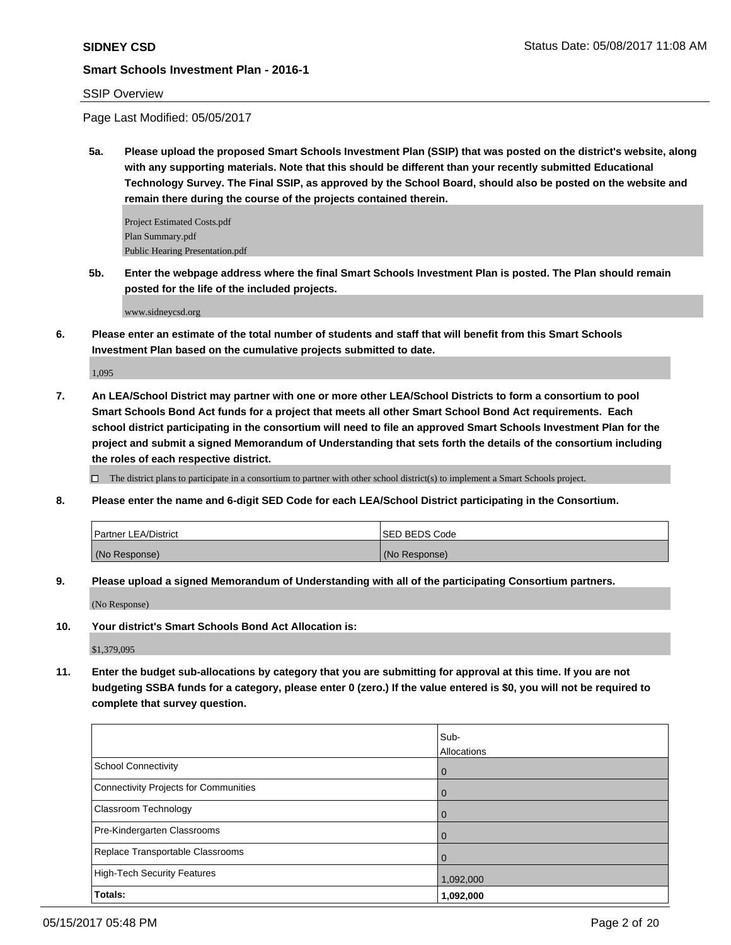# SSIP Overview

Page Last Modified: 05/05/2017

**5a. Please upload the proposed Smart Schools Investment Plan (SSIP) that was posted on the district's website, along with any supporting materials. Note that this should be different than your recently submitted Educational Technology Survey. The Final SSIP, as approved by the School Board, should also be posted on the website and remain there during the course of the projects contained therein.**

Project Estimated Costs.pdf Plan Summary.pdf Public Hearing Presentation.pdf

**5b. Enter the webpage address where the final Smart Schools Investment Plan is posted. The Plan should remain posted for the life of the included projects.**

www.sidneycsd.org

**6. Please enter an estimate of the total number of students and staff that will benefit from this Smart Schools Investment Plan based on the cumulative projects submitted to date.**

1,095

**7. An LEA/School District may partner with one or more other LEA/School Districts to form a consortium to pool Smart Schools Bond Act funds for a project that meets all other Smart School Bond Act requirements. Each school district participating in the consortium will need to file an approved Smart Schools Investment Plan for the project and submit a signed Memorandum of Understanding that sets forth the details of the consortium including the roles of each respective district.**

 $\Box$  The district plans to participate in a consortium to partner with other school district(s) to implement a Smart Schools project.

**8. Please enter the name and 6-digit SED Code for each LEA/School District participating in the Consortium.**

| <b>Partner LEA/District</b> | ISED BEDS Code |
|-----------------------------|----------------|
| (No Response)               | (No Response)  |

**9. Please upload a signed Memorandum of Understanding with all of the participating Consortium partners.**

(No Response)

**10. Your district's Smart Schools Bond Act Allocation is:**

\$1,379,095

**11. Enter the budget sub-allocations by category that you are submitting for approval at this time. If you are not budgeting SSBA funds for a category, please enter 0 (zero.) If the value entered is \$0, you will not be required to complete that survey question.**

|                                              | Sub-<br>Allocations |
|----------------------------------------------|---------------------|
| <b>School Connectivity</b>                   |                     |
| <b>Connectivity Projects for Communities</b> | $\Omega$            |
| <b>Classroom Technology</b>                  | U                   |
| Pre-Kindergarten Classrooms                  | O                   |
| Replace Transportable Classrooms             |                     |
| <b>High-Tech Security Features</b>           | 1,092,000           |
| Totals:                                      | 1,092,000           |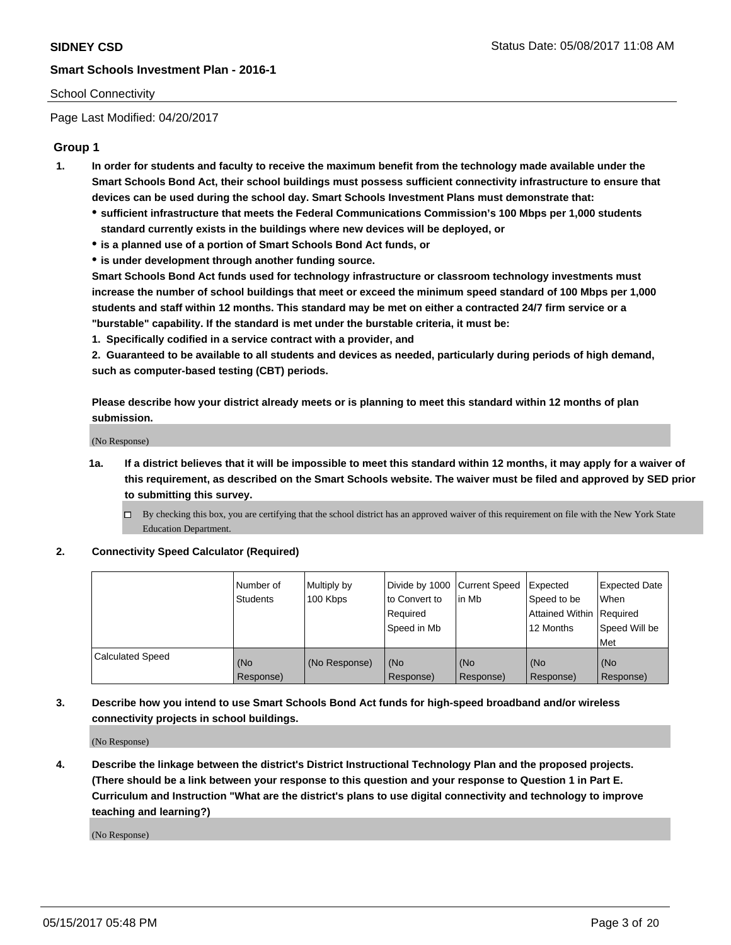#### School Connectivity

Page Last Modified: 04/20/2017

## **Group 1**

- **1. In order for students and faculty to receive the maximum benefit from the technology made available under the Smart Schools Bond Act, their school buildings must possess sufficient connectivity infrastructure to ensure that devices can be used during the school day. Smart Schools Investment Plans must demonstrate that:**
	- **sufficient infrastructure that meets the Federal Communications Commission's 100 Mbps per 1,000 students standard currently exists in the buildings where new devices will be deployed, or**
	- **is a planned use of a portion of Smart Schools Bond Act funds, or**
	- **is under development through another funding source.**

**Smart Schools Bond Act funds used for technology infrastructure or classroom technology investments must increase the number of school buildings that meet or exceed the minimum speed standard of 100 Mbps per 1,000 students and staff within 12 months. This standard may be met on either a contracted 24/7 firm service or a "burstable" capability. If the standard is met under the burstable criteria, it must be:**

**1. Specifically codified in a service contract with a provider, and**

**2. Guaranteed to be available to all students and devices as needed, particularly during periods of high demand, such as computer-based testing (CBT) periods.**

**Please describe how your district already meets or is planning to meet this standard within 12 months of plan submission.**

(No Response)

- **1a. If a district believes that it will be impossible to meet this standard within 12 months, it may apply for a waiver of this requirement, as described on the Smart Schools website. The waiver must be filed and approved by SED prior to submitting this survey.**
	- By checking this box, you are certifying that the school district has an approved waiver of this requirement on file with the New York State Education Department.

#### **2. Connectivity Speed Calculator (Required)**

|                         | l Number of<br><b>Students</b> | Multiply by<br>100 Kbps | Divide by 1000   Current Speed<br>to Convert to<br>Required<br>l Speed in Mb | in Mb            | Expected<br>Speed to be<br>Attained Within Required<br>12 Months | <b>Expected Date</b><br>When<br>Speed Will be<br><b>Met</b> |
|-------------------------|--------------------------------|-------------------------|------------------------------------------------------------------------------|------------------|------------------------------------------------------------------|-------------------------------------------------------------|
| <b>Calculated Speed</b> | (No<br>Response)               | (No Response)           | (No<br>Response)                                                             | (No<br>Response) | (No<br>Response)                                                 | l (No<br>Response)                                          |

# **3. Describe how you intend to use Smart Schools Bond Act funds for high-speed broadband and/or wireless connectivity projects in school buildings.**

(No Response)

**4. Describe the linkage between the district's District Instructional Technology Plan and the proposed projects. (There should be a link between your response to this question and your response to Question 1 in Part E. Curriculum and Instruction "What are the district's plans to use digital connectivity and technology to improve teaching and learning?)**

(No Response)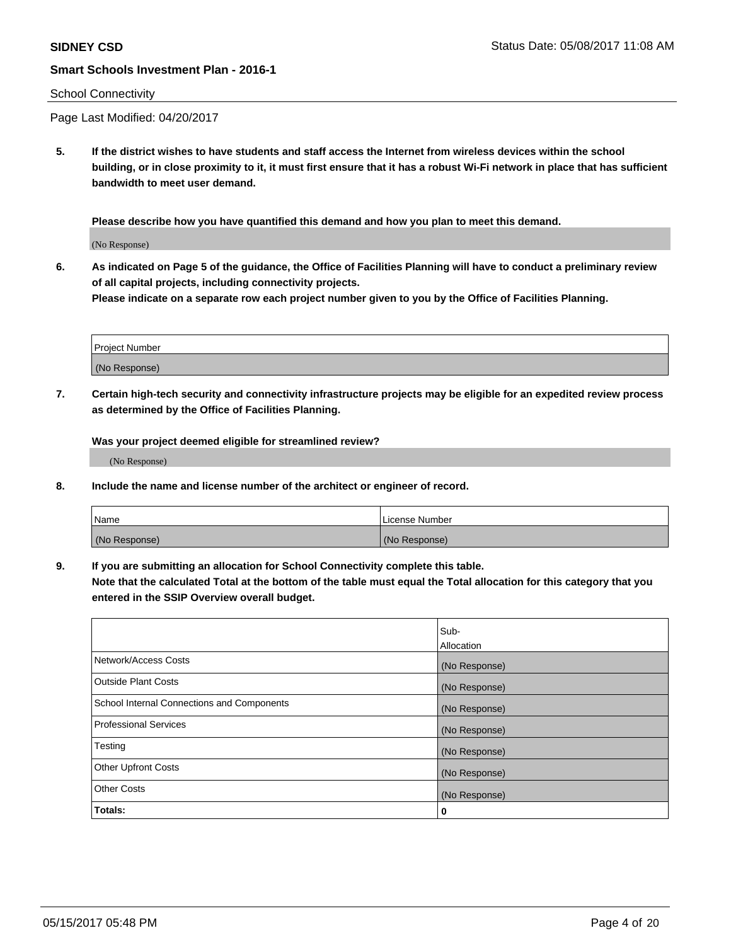#### School Connectivity

Page Last Modified: 04/20/2017

**5. If the district wishes to have students and staff access the Internet from wireless devices within the school building, or in close proximity to it, it must first ensure that it has a robust Wi-Fi network in place that has sufficient bandwidth to meet user demand.**

**Please describe how you have quantified this demand and how you plan to meet this demand.**

(No Response)

**6. As indicated on Page 5 of the guidance, the Office of Facilities Planning will have to conduct a preliminary review of all capital projects, including connectivity projects.**

**Please indicate on a separate row each project number given to you by the Office of Facilities Planning.**

| Project Number |  |
|----------------|--|
|                |  |
| (No Response)  |  |

**7. Certain high-tech security and connectivity infrastructure projects may be eligible for an expedited review process as determined by the Office of Facilities Planning.**

**Was your project deemed eligible for streamlined review?**

(No Response)

**8. Include the name and license number of the architect or engineer of record.**

| Name          | License Number |
|---------------|----------------|
| (No Response) | (No Response)  |

**9. If you are submitting an allocation for School Connectivity complete this table.**

**Note that the calculated Total at the bottom of the table must equal the Total allocation for this category that you entered in the SSIP Overview overall budget.** 

|                                            | Sub-          |
|--------------------------------------------|---------------|
|                                            | Allocation    |
| Network/Access Costs                       | (No Response) |
| Outside Plant Costs                        | (No Response) |
| School Internal Connections and Components | (No Response) |
| <b>Professional Services</b>               | (No Response) |
| Testing                                    | (No Response) |
| <b>Other Upfront Costs</b>                 | (No Response) |
| <b>Other Costs</b>                         | (No Response) |
| Totals:                                    | 0             |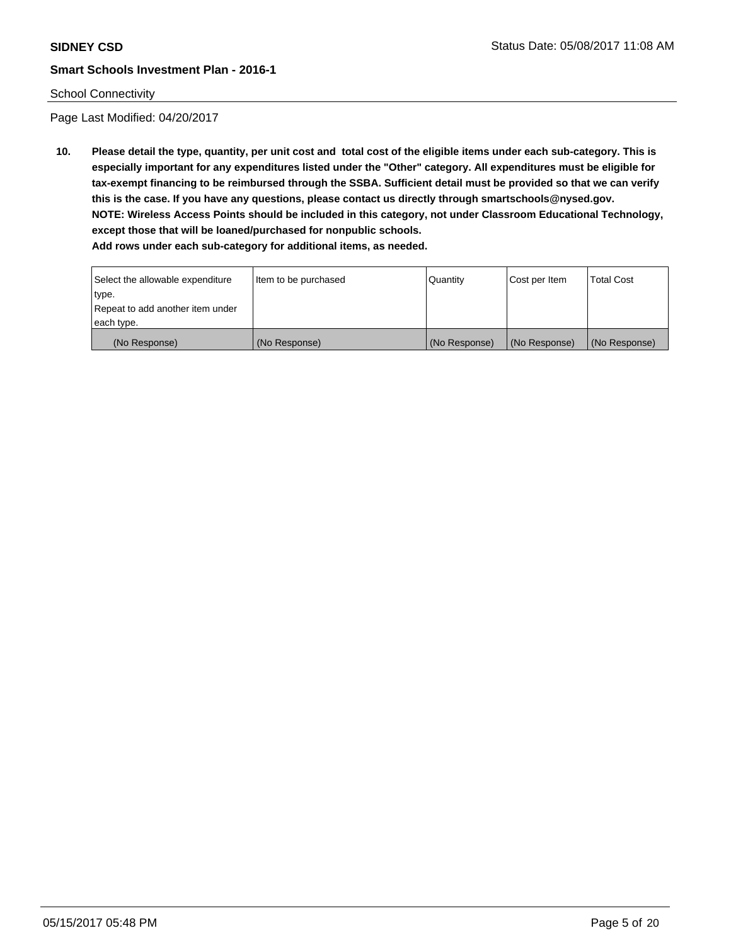#### School Connectivity

Page Last Modified: 04/20/2017

**10. Please detail the type, quantity, per unit cost and total cost of the eligible items under each sub-category. This is especially important for any expenditures listed under the "Other" category. All expenditures must be eligible for tax-exempt financing to be reimbursed through the SSBA. Sufficient detail must be provided so that we can verify this is the case. If you have any questions, please contact us directly through smartschools@nysed.gov. NOTE: Wireless Access Points should be included in this category, not under Classroom Educational Technology, except those that will be loaned/purchased for nonpublic schools.**

| Select the allowable expenditure | Item to be purchased | Quantity      | Cost per Item | Total Cost    |
|----------------------------------|----------------------|---------------|---------------|---------------|
| type.                            |                      |               |               |               |
| Repeat to add another item under |                      |               |               |               |
| each type.                       |                      |               |               |               |
| (No Response)                    | (No Response)        | (No Response) | (No Response) | (No Response) |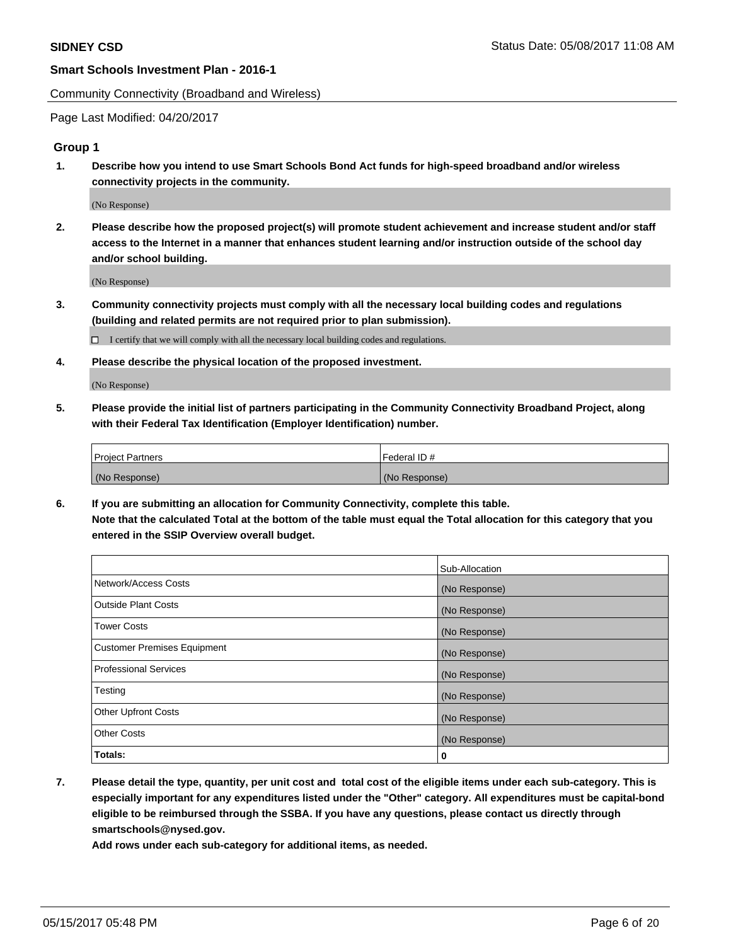Community Connectivity (Broadband and Wireless)

Page Last Modified: 04/20/2017

#### **Group 1**

**1. Describe how you intend to use Smart Schools Bond Act funds for high-speed broadband and/or wireless connectivity projects in the community.**

(No Response)

**2. Please describe how the proposed project(s) will promote student achievement and increase student and/or staff access to the Internet in a manner that enhances student learning and/or instruction outside of the school day and/or school building.**

(No Response)

**3. Community connectivity projects must comply with all the necessary local building codes and regulations (building and related permits are not required prior to plan submission).**

 $\Box$  I certify that we will comply with all the necessary local building codes and regulations.

**4. Please describe the physical location of the proposed investment.**

(No Response)

**5. Please provide the initial list of partners participating in the Community Connectivity Broadband Project, along with their Federal Tax Identification (Employer Identification) number.**

| <b>Project Partners</b> | Federal ID#     |
|-------------------------|-----------------|
| (No Response)           | l (No Response) |

**6. If you are submitting an allocation for Community Connectivity, complete this table. Note that the calculated Total at the bottom of the table must equal the Total allocation for this category that you entered in the SSIP Overview overall budget.**

|                                    | Sub-Allocation |
|------------------------------------|----------------|
| Network/Access Costs               | (No Response)  |
| Outside Plant Costs                | (No Response)  |
| <b>Tower Costs</b>                 | (No Response)  |
| <b>Customer Premises Equipment</b> | (No Response)  |
| <b>Professional Services</b>       | (No Response)  |
| Testing                            | (No Response)  |
| <b>Other Upfront Costs</b>         | (No Response)  |
| <b>Other Costs</b>                 | (No Response)  |
| Totals:                            | 0              |

**7. Please detail the type, quantity, per unit cost and total cost of the eligible items under each sub-category. This is especially important for any expenditures listed under the "Other" category. All expenditures must be capital-bond eligible to be reimbursed through the SSBA. If you have any questions, please contact us directly through smartschools@nysed.gov.**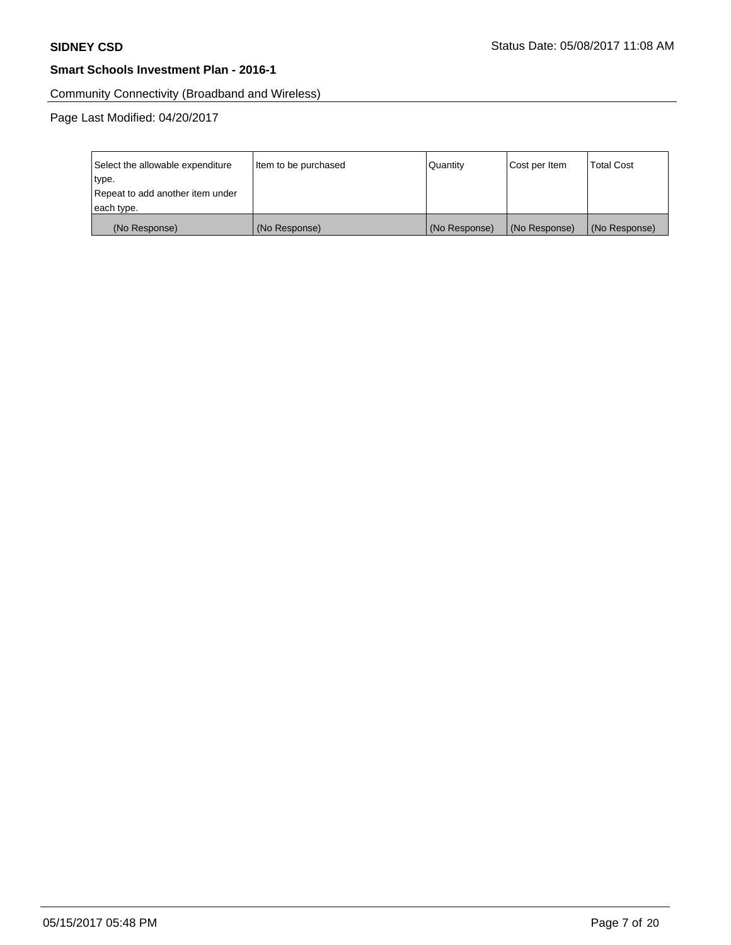Community Connectivity (Broadband and Wireless)

Page Last Modified: 04/20/2017

| Select the allowable expenditure | Item to be purchased | Quantity      | Cost per Item | <b>Total Cost</b> |
|----------------------------------|----------------------|---------------|---------------|-------------------|
| type.                            |                      |               |               |                   |
| Repeat to add another item under |                      |               |               |                   |
| each type.                       |                      |               |               |                   |
| (No Response)                    | (No Response)        | (No Response) | (No Response) | (No Response)     |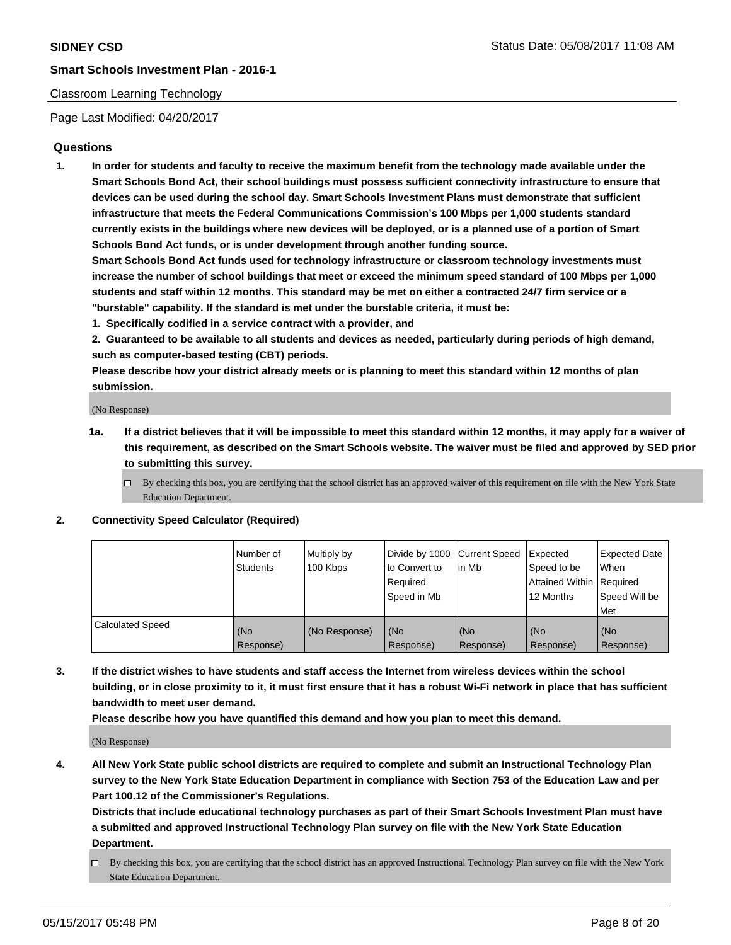#### Classroom Learning Technology

Page Last Modified: 04/20/2017

## **Questions**

**1. In order for students and faculty to receive the maximum benefit from the technology made available under the Smart Schools Bond Act, their school buildings must possess sufficient connectivity infrastructure to ensure that devices can be used during the school day. Smart Schools Investment Plans must demonstrate that sufficient infrastructure that meets the Federal Communications Commission's 100 Mbps per 1,000 students standard currently exists in the buildings where new devices will be deployed, or is a planned use of a portion of Smart Schools Bond Act funds, or is under development through another funding source.**

**Smart Schools Bond Act funds used for technology infrastructure or classroom technology investments must increase the number of school buildings that meet or exceed the minimum speed standard of 100 Mbps per 1,000 students and staff within 12 months. This standard may be met on either a contracted 24/7 firm service or a "burstable" capability. If the standard is met under the burstable criteria, it must be:**

- **1. Specifically codified in a service contract with a provider, and**
- **2. Guaranteed to be available to all students and devices as needed, particularly during periods of high demand, such as computer-based testing (CBT) periods.**

**Please describe how your district already meets or is planning to meet this standard within 12 months of plan submission.**

(No Response)

- **1a. If a district believes that it will be impossible to meet this standard within 12 months, it may apply for a waiver of this requirement, as described on the Smart Schools website. The waiver must be filed and approved by SED prior to submitting this survey.**
	- $\Box$  By checking this box, you are certifying that the school district has an approved waiver of this requirement on file with the New York State Education Department.

#### **2. Connectivity Speed Calculator (Required)**

|                         | l Number of<br>Students | Multiply by<br>100 Kbps | Divide by 1000   Current Speed<br>to Convert to<br>Required<br>Speed in Mb | l in Mb          | Expected<br>Speed to be<br>Attained Within Required<br>12 Months | <b>Expected Date</b><br>When<br>Speed Will be<br>Met |
|-------------------------|-------------------------|-------------------------|----------------------------------------------------------------------------|------------------|------------------------------------------------------------------|------------------------------------------------------|
| <b>Calculated Speed</b> | (No<br>Response)        | (No Response)           | (No<br>Response)                                                           | (No<br>Response) | (No<br>Response)                                                 | (No<br>Response)                                     |

**3. If the district wishes to have students and staff access the Internet from wireless devices within the school building, or in close proximity to it, it must first ensure that it has a robust Wi-Fi network in place that has sufficient bandwidth to meet user demand.**

**Please describe how you have quantified this demand and how you plan to meet this demand.**

(No Response)

**4. All New York State public school districts are required to complete and submit an Instructional Technology Plan survey to the New York State Education Department in compliance with Section 753 of the Education Law and per Part 100.12 of the Commissioner's Regulations.**

**Districts that include educational technology purchases as part of their Smart Schools Investment Plan must have a submitted and approved Instructional Technology Plan survey on file with the New York State Education Department.**

 $\Box$  By checking this box, you are certifying that the school district has an approved Instructional Technology Plan survey on file with the New York State Education Department.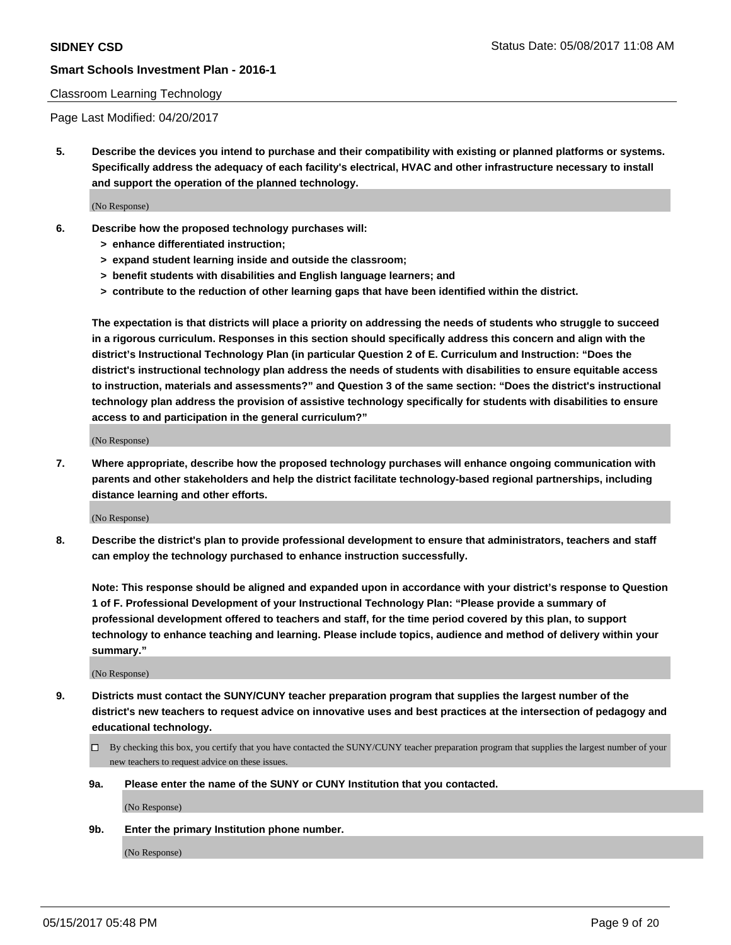#### Classroom Learning Technology

Page Last Modified: 04/20/2017

**5. Describe the devices you intend to purchase and their compatibility with existing or planned platforms or systems. Specifically address the adequacy of each facility's electrical, HVAC and other infrastructure necessary to install and support the operation of the planned technology.**

(No Response)

- **6. Describe how the proposed technology purchases will:**
	- **> enhance differentiated instruction;**
	- **> expand student learning inside and outside the classroom;**
	- **> benefit students with disabilities and English language learners; and**
	- **> contribute to the reduction of other learning gaps that have been identified within the district.**

**The expectation is that districts will place a priority on addressing the needs of students who struggle to succeed in a rigorous curriculum. Responses in this section should specifically address this concern and align with the district's Instructional Technology Plan (in particular Question 2 of E. Curriculum and Instruction: "Does the district's instructional technology plan address the needs of students with disabilities to ensure equitable access to instruction, materials and assessments?" and Question 3 of the same section: "Does the district's instructional technology plan address the provision of assistive technology specifically for students with disabilities to ensure access to and participation in the general curriculum?"**

(No Response)

**7. Where appropriate, describe how the proposed technology purchases will enhance ongoing communication with parents and other stakeholders and help the district facilitate technology-based regional partnerships, including distance learning and other efforts.**

(No Response)

**8. Describe the district's plan to provide professional development to ensure that administrators, teachers and staff can employ the technology purchased to enhance instruction successfully.**

**Note: This response should be aligned and expanded upon in accordance with your district's response to Question 1 of F. Professional Development of your Instructional Technology Plan: "Please provide a summary of professional development offered to teachers and staff, for the time period covered by this plan, to support technology to enhance teaching and learning. Please include topics, audience and method of delivery within your summary."**

(No Response)

- **9. Districts must contact the SUNY/CUNY teacher preparation program that supplies the largest number of the district's new teachers to request advice on innovative uses and best practices at the intersection of pedagogy and educational technology.**
	- By checking this box, you certify that you have contacted the SUNY/CUNY teacher preparation program that supplies the largest number of your new teachers to request advice on these issues.
	- **9a. Please enter the name of the SUNY or CUNY Institution that you contacted.**

(No Response)

**9b. Enter the primary Institution phone number.**

(No Response)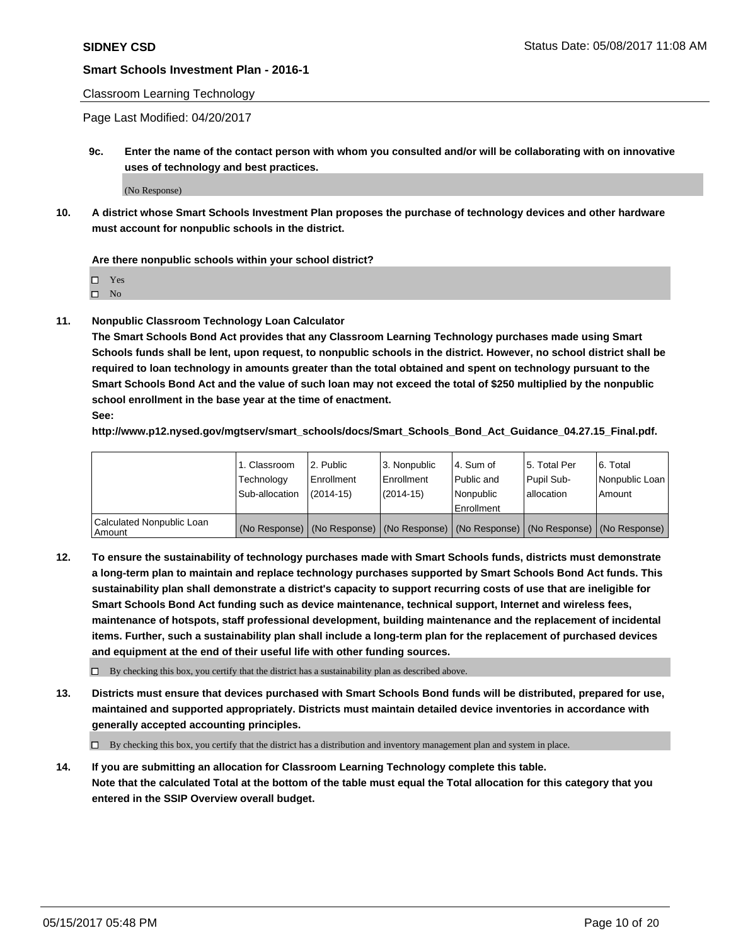#### Classroom Learning Technology

Page Last Modified: 04/20/2017

**9c. Enter the name of the contact person with whom you consulted and/or will be collaborating with on innovative uses of technology and best practices.**

(No Response)

**10. A district whose Smart Schools Investment Plan proposes the purchase of technology devices and other hardware must account for nonpublic schools in the district.**

**Are there nonpublic schools within your school district?**

Yes

 $\square$  No

**11. Nonpublic Classroom Technology Loan Calculator**

**The Smart Schools Bond Act provides that any Classroom Learning Technology purchases made using Smart Schools funds shall be lent, upon request, to nonpublic schools in the district. However, no school district shall be required to loan technology in amounts greater than the total obtained and spent on technology pursuant to the Smart Schools Bond Act and the value of such loan may not exceed the total of \$250 multiplied by the nonpublic school enrollment in the base year at the time of enactment.**

**See:**

**http://www.p12.nysed.gov/mgtserv/smart\_schools/docs/Smart\_Schools\_Bond\_Act\_Guidance\_04.27.15\_Final.pdf.**

|                                       | 1. Classroom   | l 2. Public   | 3. Nonpublic | l 4. Sum of | 15. Total Per                                                                                 | 6. Total       |
|---------------------------------------|----------------|---------------|--------------|-------------|-----------------------------------------------------------------------------------------------|----------------|
|                                       | Technology     | Enrollment    | Enrollment   | Public and  | Pupil Sub-                                                                                    | Nonpublic Loan |
|                                       | Sub-allocation | $(2014 - 15)$ | $(2014-15)$  | l Nonpublic | allocation                                                                                    | Amount         |
|                                       |                |               |              | Enrollment  |                                                                                               |                |
| Calculated Nonpublic Loan<br>  Amount |                |               |              |             | (No Response)   (No Response)   (No Response)   (No Response)   (No Response)   (No Response) |                |

**12. To ensure the sustainability of technology purchases made with Smart Schools funds, districts must demonstrate a long-term plan to maintain and replace technology purchases supported by Smart Schools Bond Act funds. This sustainability plan shall demonstrate a district's capacity to support recurring costs of use that are ineligible for Smart Schools Bond Act funding such as device maintenance, technical support, Internet and wireless fees, maintenance of hotspots, staff professional development, building maintenance and the replacement of incidental items. Further, such a sustainability plan shall include a long-term plan for the replacement of purchased devices and equipment at the end of their useful life with other funding sources.**

 $\Box$  By checking this box, you certify that the district has a sustainability plan as described above.

**13. Districts must ensure that devices purchased with Smart Schools Bond funds will be distributed, prepared for use, maintained and supported appropriately. Districts must maintain detailed device inventories in accordance with generally accepted accounting principles.**

By checking this box, you certify that the district has a distribution and inventory management plan and system in place.

**14. If you are submitting an allocation for Classroom Learning Technology complete this table. Note that the calculated Total at the bottom of the table must equal the Total allocation for this category that you entered in the SSIP Overview overall budget.**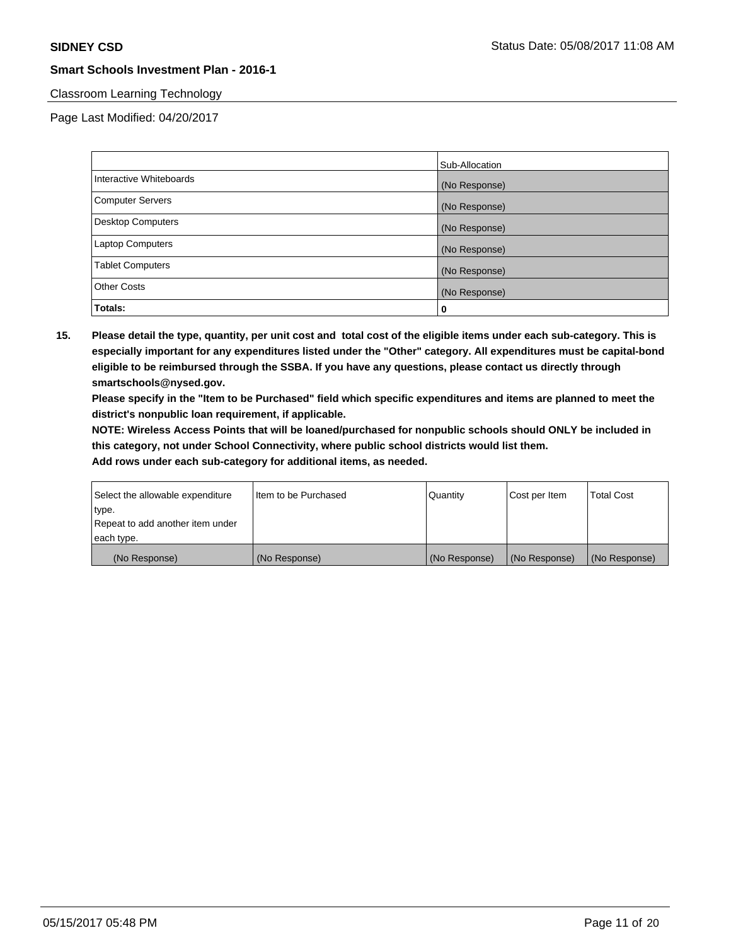# Classroom Learning Technology

Page Last Modified: 04/20/2017

|                          | Sub-Allocation |
|--------------------------|----------------|
| Interactive Whiteboards  | (No Response)  |
| Computer Servers         | (No Response)  |
| <b>Desktop Computers</b> | (No Response)  |
| <b>Laptop Computers</b>  | (No Response)  |
| <b>Tablet Computers</b>  | (No Response)  |
| <b>Other Costs</b>       | (No Response)  |
| Totals:                  | 0              |

**15. Please detail the type, quantity, per unit cost and total cost of the eligible items under each sub-category. This is especially important for any expenditures listed under the "Other" category. All expenditures must be capital-bond eligible to be reimbursed through the SSBA. If you have any questions, please contact us directly through smartschools@nysed.gov.**

**Please specify in the "Item to be Purchased" field which specific expenditures and items are planned to meet the district's nonpublic loan requirement, if applicable.**

**NOTE: Wireless Access Points that will be loaned/purchased for nonpublic schools should ONLY be included in this category, not under School Connectivity, where public school districts would list them.**

| Select the allowable expenditure | Iltem to be Purchased | Quantity      | Cost per Item | <b>Total Cost</b> |
|----------------------------------|-----------------------|---------------|---------------|-------------------|
| type.                            |                       |               |               |                   |
| Repeat to add another item under |                       |               |               |                   |
| each type.                       |                       |               |               |                   |
| (No Response)                    | (No Response)         | (No Response) | (No Response) | (No Response)     |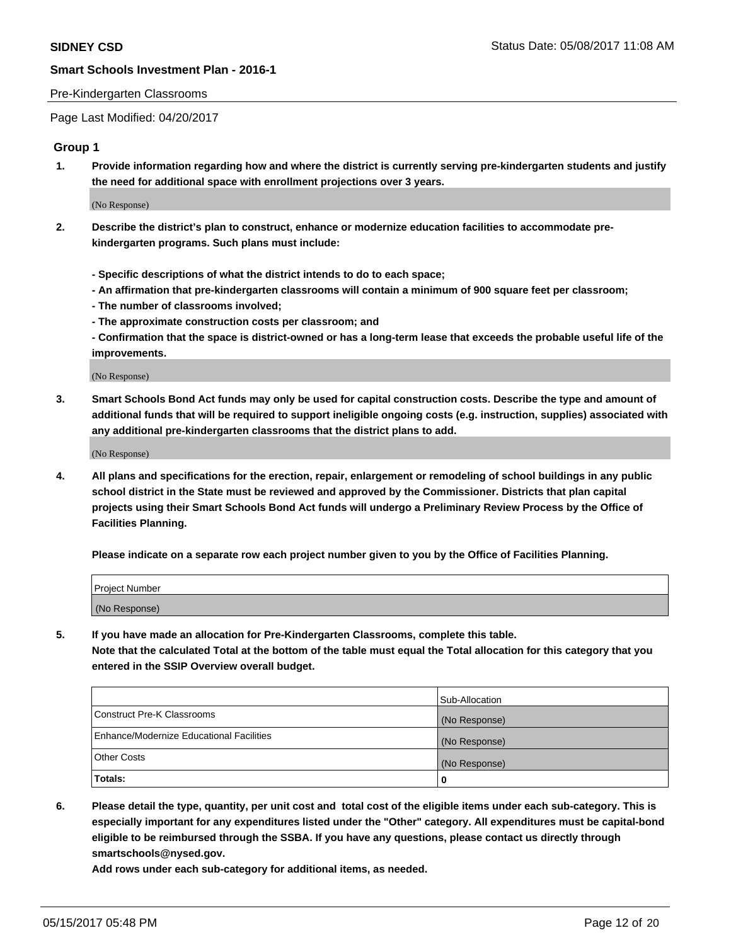#### Pre-Kindergarten Classrooms

Page Last Modified: 04/20/2017

# **Group 1**

**1. Provide information regarding how and where the district is currently serving pre-kindergarten students and justify the need for additional space with enrollment projections over 3 years.**

(No Response)

- **2. Describe the district's plan to construct, enhance or modernize education facilities to accommodate prekindergarten programs. Such plans must include:**
	- **Specific descriptions of what the district intends to do to each space;**
	- **An affirmation that pre-kindergarten classrooms will contain a minimum of 900 square feet per classroom;**
	- **The number of classrooms involved;**
	- **The approximate construction costs per classroom; and**
	- **Confirmation that the space is district-owned or has a long-term lease that exceeds the probable useful life of the improvements.**

(No Response)

**3. Smart Schools Bond Act funds may only be used for capital construction costs. Describe the type and amount of additional funds that will be required to support ineligible ongoing costs (e.g. instruction, supplies) associated with any additional pre-kindergarten classrooms that the district plans to add.**

(No Response)

**4. All plans and specifications for the erection, repair, enlargement or remodeling of school buildings in any public school district in the State must be reviewed and approved by the Commissioner. Districts that plan capital projects using their Smart Schools Bond Act funds will undergo a Preliminary Review Process by the Office of Facilities Planning.**

**Please indicate on a separate row each project number given to you by the Office of Facilities Planning.**

| Project Number |  |
|----------------|--|
| (No Response)  |  |

**5. If you have made an allocation for Pre-Kindergarten Classrooms, complete this table. Note that the calculated Total at the bottom of the table must equal the Total allocation for this category that you entered in the SSIP Overview overall budget.**

| Totals:                                  | 0              |
|------------------------------------------|----------------|
| Other Costs                              | (No Response)  |
| Enhance/Modernize Educational Facilities | (No Response)  |
| Construct Pre-K Classrooms               | (No Response)  |
|                                          | Sub-Allocation |

**6. Please detail the type, quantity, per unit cost and total cost of the eligible items under each sub-category. This is especially important for any expenditures listed under the "Other" category. All expenditures must be capital-bond eligible to be reimbursed through the SSBA. If you have any questions, please contact us directly through smartschools@nysed.gov.**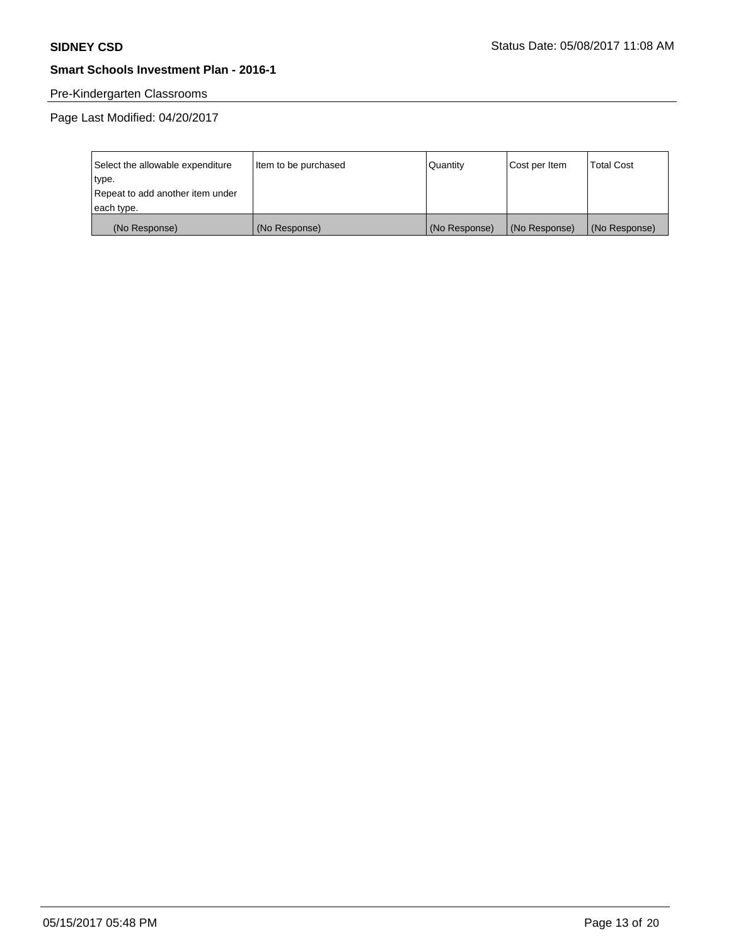# Pre-Kindergarten Classrooms

Page Last Modified: 04/20/2017

| Select the allowable expenditure | Item to be purchased | Quantity      | Cost per Item | <b>Total Cost</b> |
|----------------------------------|----------------------|---------------|---------------|-------------------|
| type.                            |                      |               |               |                   |
| Repeat to add another item under |                      |               |               |                   |
| each type.                       |                      |               |               |                   |
| (No Response)                    | (No Response)        | (No Response) | (No Response) | (No Response)     |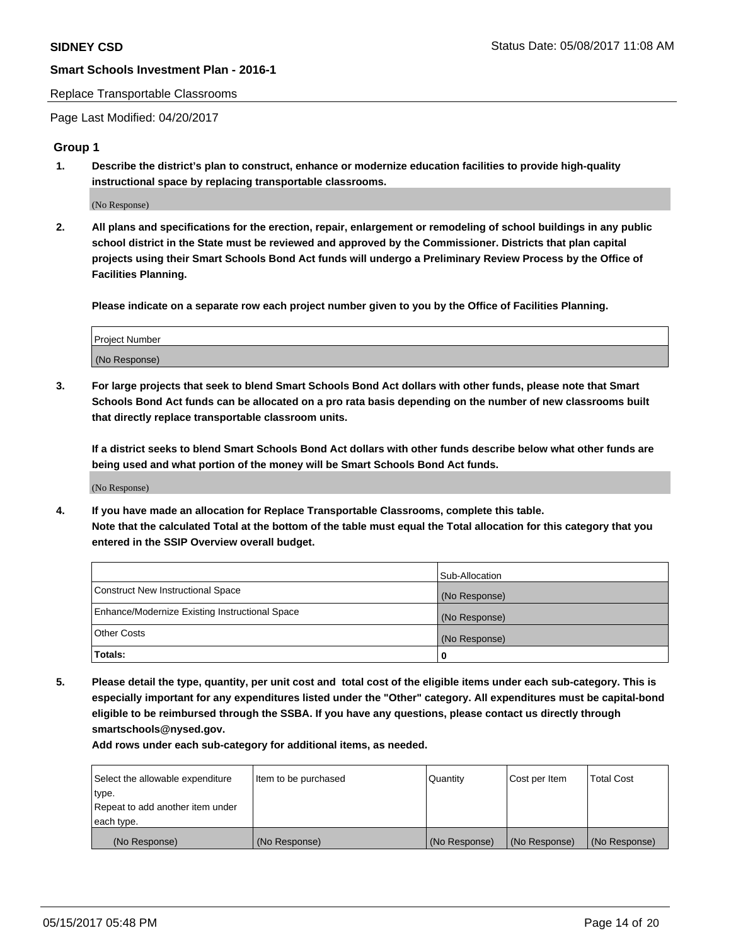#### Replace Transportable Classrooms

Page Last Modified: 04/20/2017

#### **Group 1**

**1. Describe the district's plan to construct, enhance or modernize education facilities to provide high-quality instructional space by replacing transportable classrooms.**

(No Response)

**2. All plans and specifications for the erection, repair, enlargement or remodeling of school buildings in any public school district in the State must be reviewed and approved by the Commissioner. Districts that plan capital projects using their Smart Schools Bond Act funds will undergo a Preliminary Review Process by the Office of Facilities Planning.**

**Please indicate on a separate row each project number given to you by the Office of Facilities Planning.**

| Project Number |  |
|----------------|--|
| (No Response)  |  |

**3. For large projects that seek to blend Smart Schools Bond Act dollars with other funds, please note that Smart Schools Bond Act funds can be allocated on a pro rata basis depending on the number of new classrooms built that directly replace transportable classroom units.**

**If a district seeks to blend Smart Schools Bond Act dollars with other funds describe below what other funds are being used and what portion of the money will be Smart Schools Bond Act funds.**

(No Response)

**4. If you have made an allocation for Replace Transportable Classrooms, complete this table. Note that the calculated Total at the bottom of the table must equal the Total allocation for this category that you entered in the SSIP Overview overall budget.**

|                                                | Sub-Allocation |
|------------------------------------------------|----------------|
| Construct New Instructional Space              | (No Response)  |
| Enhance/Modernize Existing Instructional Space | (No Response)  |
| Other Costs                                    | (No Response)  |
| Totals:                                        | 0              |

**5. Please detail the type, quantity, per unit cost and total cost of the eligible items under each sub-category. This is especially important for any expenditures listed under the "Other" category. All expenditures must be capital-bond eligible to be reimbursed through the SSBA. If you have any questions, please contact us directly through smartschools@nysed.gov.**

| Select the allowable expenditure | Item to be purchased | Quantity      | Cost per Item | <b>Total Cost</b> |
|----------------------------------|----------------------|---------------|---------------|-------------------|
| type.                            |                      |               |               |                   |
| Repeat to add another item under |                      |               |               |                   |
| each type.                       |                      |               |               |                   |
| (No Response)                    | (No Response)        | (No Response) | (No Response) | (No Response)     |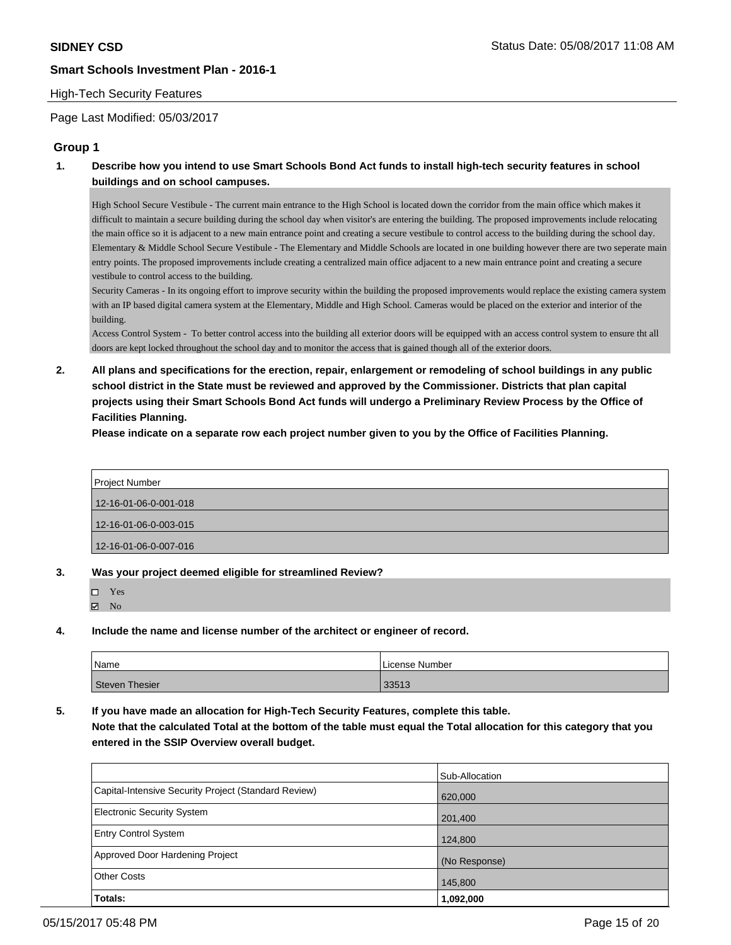#### High-Tech Security Features

Page Last Modified: 05/03/2017

## **Group 1**

**1. Describe how you intend to use Smart Schools Bond Act funds to install high-tech security features in school buildings and on school campuses.**

High School Secure Vestibule - The current main entrance to the High School is located down the corridor from the main office which makes it difficult to maintain a secure building during the school day when visitor's are entering the building. The proposed improvements include relocating the main office so it is adjacent to a new main entrance point and creating a secure vestibule to control access to the building during the school day. Elementary & Middle School Secure Vestibule - The Elementary and Middle Schools are located in one building however there are two seperate main entry points. The proposed improvements include creating a centralized main office adjacent to a new main entrance point and creating a secure vestibule to control access to the building.

Security Cameras - In its ongoing effort to improve security within the building the proposed improvements would replace the existing camera system with an IP based digital camera system at the Elementary, Middle and High School. Cameras would be placed on the exterior and interior of the building.

Access Control System - To better control access into the building all exterior doors will be equipped with an access control system to ensure tht all doors are kept locked throughout the school day and to monitor the access that is gained though all of the exterior doors.

**2. All plans and specifications for the erection, repair, enlargement or remodeling of school buildings in any public school district in the State must be reviewed and approved by the Commissioner. Districts that plan capital projects using their Smart Schools Bond Act funds will undergo a Preliminary Review Process by the Office of Facilities Planning.** 

**Please indicate on a separate row each project number given to you by the Office of Facilities Planning.**

| <b>Project Number</b>               |
|-------------------------------------|
| $12 - 16 - 01 - 06 - 0 - 001 - 018$ |
| 12-16-01-06-0-003-015               |
| 12-16-01-06-0-007-016               |

- **3. Was your project deemed eligible for streamlined Review?**
	- Yes
	- $\boxtimes$  No
- **4. Include the name and license number of the architect or engineer of record.**

| Name           | License Number |
|----------------|----------------|
| Steven Thesier | 33513          |

**5. If you have made an allocation for High-Tech Security Features, complete this table.**

**Note that the calculated Total at the bottom of the table must equal the Total allocation for this category that you entered in the SSIP Overview overall budget.**

| Totals:                                              | 1,092,000      |
|------------------------------------------------------|----------------|
| <b>Other Costs</b>                                   | 145,800        |
| Approved Door Hardening Project                      | (No Response)  |
| <b>Entry Control System</b>                          | 124,800        |
| <b>Electronic Security System</b>                    | 201,400        |
| Capital-Intensive Security Project (Standard Review) | 620,000        |
|                                                      | Sub-Allocation |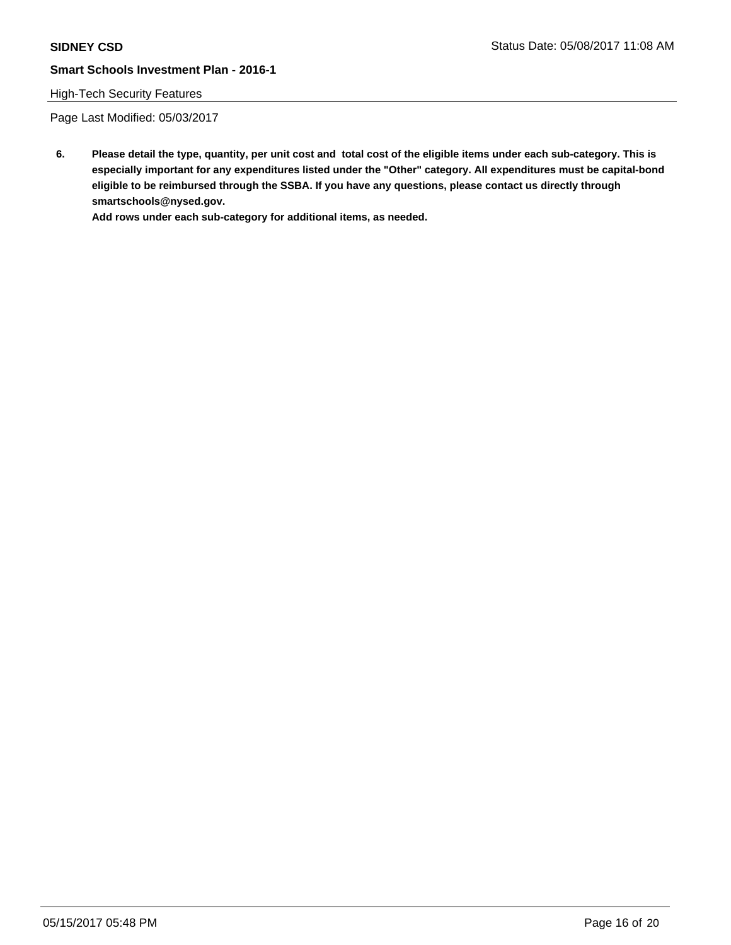# High-Tech Security Features

Page Last Modified: 05/03/2017

**6. Please detail the type, quantity, per unit cost and total cost of the eligible items under each sub-category. This is especially important for any expenditures listed under the "Other" category. All expenditures must be capital-bond eligible to be reimbursed through the SSBA. If you have any questions, please contact us directly through smartschools@nysed.gov.**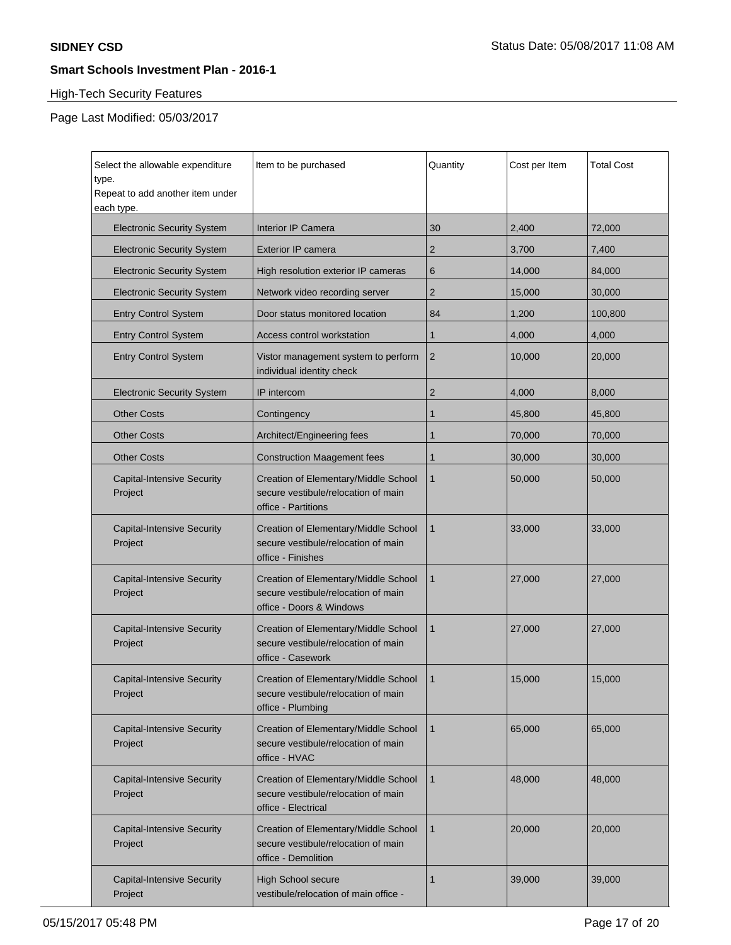# High-Tech Security Features

Page Last Modified: 05/03/2017

| Select the allowable expenditure<br>type.<br>Repeat to add another item under<br>each type. | Item to be purchased                                                                                    | Quantity       | Cost per Item | <b>Total Cost</b> |
|---------------------------------------------------------------------------------------------|---------------------------------------------------------------------------------------------------------|----------------|---------------|-------------------|
| <b>Electronic Security System</b>                                                           | Interior IP Camera                                                                                      | 30             | 2,400         | 72,000            |
| <b>Electronic Security System</b>                                                           | <b>Exterior IP camera</b>                                                                               | $\overline{2}$ | 3,700         | 7,400             |
| <b>Electronic Security System</b>                                                           | High resolution exterior IP cameras                                                                     | 6              | 14,000        | 84,000            |
| <b>Electronic Security System</b>                                                           | Network video recording server                                                                          | $\overline{2}$ | 15,000        | 30,000            |
| <b>Entry Control System</b>                                                                 | Door status monitored location                                                                          | 84             | 1,200         | 100,800           |
| <b>Entry Control System</b>                                                                 | Access control workstation                                                                              | 1              | 4,000         | 4,000             |
| <b>Entry Control System</b>                                                                 | Vistor management system to perform<br>individual identity check                                        | $\overline{2}$ | 10,000        | 20,000            |
| <b>Electronic Security System</b>                                                           | IP intercom                                                                                             | $\overline{2}$ | 4,000         | 8,000             |
| <b>Other Costs</b>                                                                          | Contingency                                                                                             | 1              | 45,800        | 45,800            |
| <b>Other Costs</b>                                                                          | Architect/Engineering fees                                                                              | 1              | 70,000        | 70,000            |
| <b>Other Costs</b>                                                                          | <b>Construction Maagement fees</b>                                                                      | $\mathbf{1}$   | 30,000        | 30,000            |
| <b>Capital-Intensive Security</b><br>Project                                                | Creation of Elementary/Middle School<br>secure vestibule/relocation of main<br>office - Partitions      | $\mathbf{1}$   | 50,000        | 50,000            |
| <b>Capital-Intensive Security</b><br>Project                                                | Creation of Elementary/Middle School<br>secure vestibule/relocation of main<br>office - Finishes        | $\mathbf{1}$   | 33,000        | 33,000            |
| <b>Capital-Intensive Security</b><br>Project                                                | Creation of Elementary/Middle School<br>secure vestibule/relocation of main<br>office - Doors & Windows | $\mathbf{1}$   | 27,000        | 27,000            |
| <b>Capital-Intensive Security</b><br>Project                                                | Creation of Elementary/Middle School<br>secure vestibule/relocation of main<br>office - Casework        | $\mathbf{1}$   | 27,000        | 27,000            |
| <b>Capital-Intensive Security</b><br>Project                                                | Creation of Elementary/Middle School<br>secure vestibule/relocation of main<br>office - Plumbing        | $\mathbf{1}$   | 15,000        | 15,000            |
| <b>Capital-Intensive Security</b><br>Project                                                | Creation of Elementary/Middle School<br>secure vestibule/relocation of main<br>office - HVAC            | $\mathbf{1}$   | 65,000        | 65,000            |
| <b>Capital-Intensive Security</b><br>Project                                                | Creation of Elementary/Middle School<br>secure vestibule/relocation of main<br>office - Electrical      | $\mathbf{1}$   | 48,000        | 48,000            |
| <b>Capital-Intensive Security</b><br>Project                                                | Creation of Elementary/Middle School<br>secure vestibule/relocation of main<br>office - Demolition      | $\mathbf{1}$   | 20,000        | 20,000            |
| <b>Capital-Intensive Security</b><br>Project                                                | High School secure<br>vestibule/relocation of main office -                                             | 1              | 39,000        | 39,000            |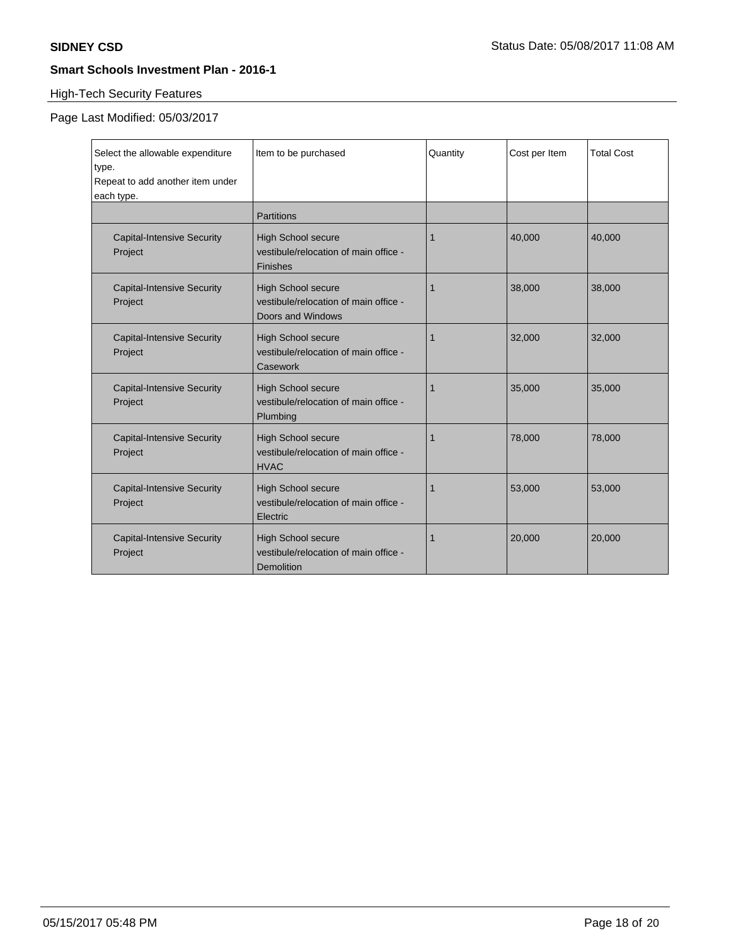# High-Tech Security Features

Page Last Modified: 05/03/2017

| Select the allowable expenditure<br>type.<br>Repeat to add another item under<br>each type. | Item to be purchased                                                                    | Quantity     | Cost per Item | <b>Total Cost</b> |
|---------------------------------------------------------------------------------------------|-----------------------------------------------------------------------------------------|--------------|---------------|-------------------|
|                                                                                             | Partitions                                                                              |              |               |                   |
| <b>Capital-Intensive Security</b><br>Project                                                | <b>High School secure</b><br>vestibule/relocation of main office -<br><b>Finishes</b>   | 1            | 40,000        | 40,000            |
| <b>Capital-Intensive Security</b><br>Project                                                | <b>High School secure</b><br>vestibule/relocation of main office -<br>Doors and Windows | 1            | 38,000        | 38,000            |
| <b>Capital-Intensive Security</b><br>Project                                                | <b>High School secure</b><br>vestibule/relocation of main office -<br>Casework          | 1            | 32,000        | 32,000            |
| <b>Capital-Intensive Security</b><br>Project                                                | High School secure<br>vestibule/relocation of main office -<br>Plumbing                 | 1            | 35,000        | 35,000            |
| <b>Capital-Intensive Security</b><br>Project                                                | High School secure<br>vestibule/relocation of main office -<br><b>HVAC</b>              | $\mathbf{1}$ | 78,000        | 78,000            |
| <b>Capital-Intensive Security</b><br>Project                                                | <b>High School secure</b><br>vestibule/relocation of main office -<br>Electric          | 1            | 53,000        | 53,000            |
| <b>Capital-Intensive Security</b><br>Project                                                | <b>High School secure</b><br>vestibule/relocation of main office -<br>Demolition        | 1            | 20,000        | 20,000            |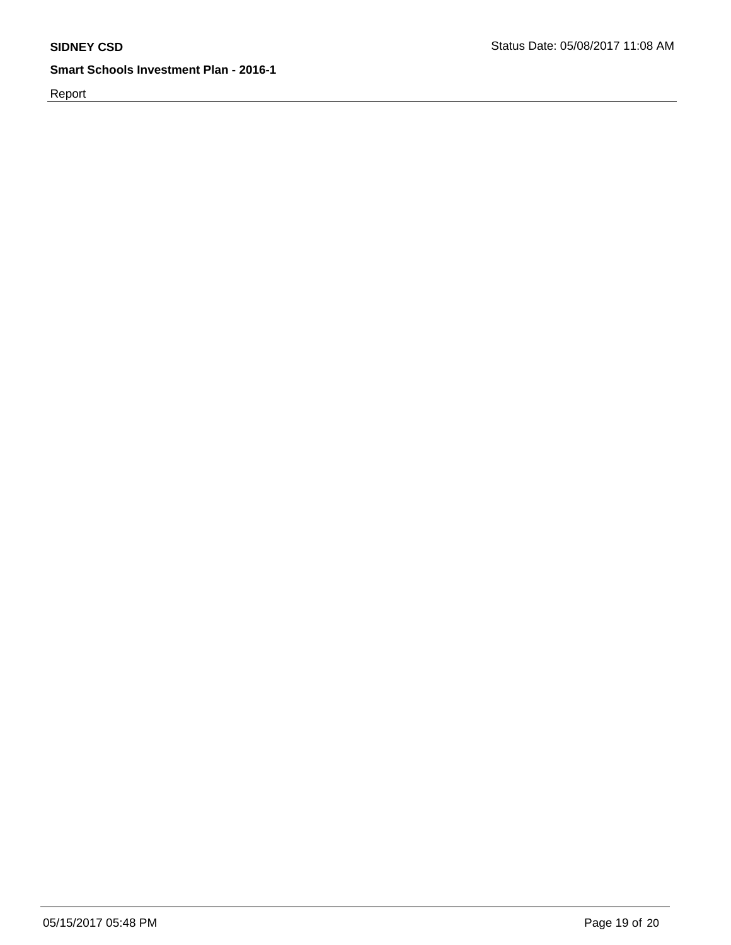Report